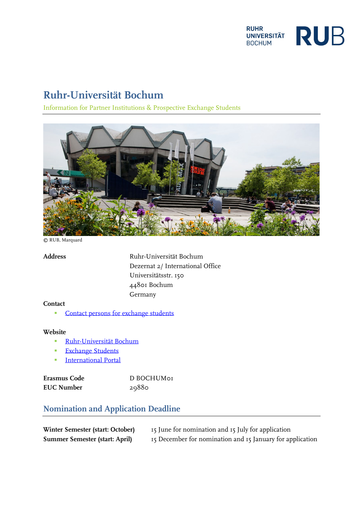

# **Ruhr-Universität Bochum**

Information for Partner Institutions & Prospective Exchange Students



© RUB, Marquard

**Address** Ruhr-Universität Bochum Dezernat 2/ International Office Universitätsstr. 150 44801 Bochum Germany

#### **Contact**

[Contact persons for exchange students](https://international.ruhr-uni-bochum.de/en/counseling-international-exchange-students?_wrapper_format=html)

#### **Website**

- [Ruhr-Universität Bochum](https://www.ruhr-uni-bochum.de/en)
- **[Exchange Students](https://international.ruhr-uni-bochum.de/en/international-exchange-students?_wrapper_format=html)**
- **[International](https://international.ruhr-uni-bochum.de/en) Portal**

| Erasmus Code      | D BOCHUMOT |
|-------------------|------------|
| <b>EUC Number</b> | 29880      |

## **Nomination and Application Deadline**

| Winter Semester (start: October)      | 15 June for nomination and 15 July for application        |
|---------------------------------------|-----------------------------------------------------------|
| <b>Summer Semester (start: April)</b> | 15 December for nomination and 15 January for application |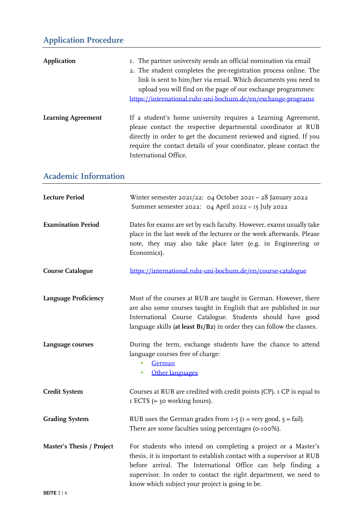# **Application Procedure**

| <b>Application</b>          | I. The partner university sends an official nomination via email<br>2. The student completes the pre-registration process online. The<br>link is sent to him/her via email. Which documents you need to<br>upload you will find on the page of our exchange programmes:<br>https://international.ruhr-uni-bochum.de/en/exchange-programs |
|-----------------------------|------------------------------------------------------------------------------------------------------------------------------------------------------------------------------------------------------------------------------------------------------------------------------------------------------------------------------------------|
| <b>Learning Agreement</b>   | If a student's home university requires a Learning Agreement,<br>please contact the respective departmental coordinator at RUB<br>directly in order to get the document reviewed and signed. If you<br>require the contact details of your coordinator, please contact the<br>International Office.                                      |
| <b>Academic Information</b> |                                                                                                                                                                                                                                                                                                                                          |
| <b>Lecture Period</b>       | Winter semester $2021/22$ : 04 October $202I - 28$ January 2022<br>Summer semester 2022: 04 April 2022 - 15 July 2022                                                                                                                                                                                                                    |
| <b>Examination Period</b>   | Dates for exams are set by each faculty. However, exams usually take<br>place in the last week of the lectures or the week afterwards. Please<br>note, they may also take place later (e.g. in Engineering or<br>Economics).                                                                                                             |
| <b>Course Catalogue</b>     | https://international.ruhr-uni-bochum.de/en/course-catalogue                                                                                                                                                                                                                                                                             |
| Language Proficiency        | Most of the courses at RUB are taught in German. However, there<br>are also some courses taught in English that are published in our<br>International Course Catalogue. Students should have good<br>language skills (at least BI/B2) in order they can follow the classes.                                                              |
| Language courses            | During the term, exchange students have the chance to attend<br>language courses free of charge:<br>German<br>Other languages<br>п                                                                                                                                                                                                       |
| <b>Credit System</b>        | Courses at RUB are credited with credit points (CP). I CP is equal to<br>I ECTS $(=$ 30 working hours).                                                                                                                                                                                                                                  |
| <b>Grading System</b>       | RUB uses the German grades from $I - 5$ ( $I = very good$ , $5 = fail$ ).<br>There are some faculties using percentages (0-100%).                                                                                                                                                                                                        |
| Master's Thesis / Project   | For students who intend on completing a project or a Master's<br>thesis, it is important to establish contact with a supervisor at RUB<br>before arrival. The International Office can help finding a<br>supervisor. In order to contact the right department, we need to<br>know which subject your project is going to be.             |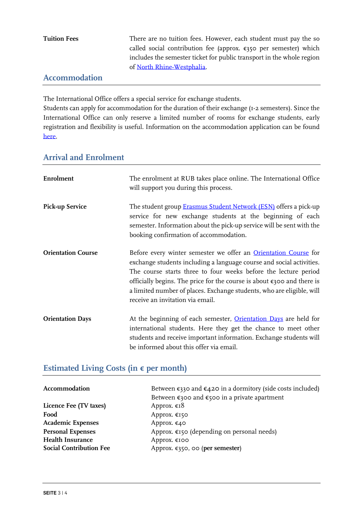| <b>Tuition Fees</b>            | There are no tuition fees. However, each student must pay the so           |
|--------------------------------|----------------------------------------------------------------------------|
|                                | called social contribution fee (approx. $\epsilon$ 350 per semester) which |
|                                | includes the semester ticket for public transport in the whole region      |
|                                | of North Rhine-Westphalia.                                                 |
| . A consequence of the Line of |                                                                            |

#### **Accommodation**

The International Office offers a special service for exchange students.

Students can apply for accommodation for the duration of their exchange (1-2 semesters). Since the International Office can only reserve a limited number of rooms for exchange students, early registration and flexibility is useful. Information on the accommodation application can be found [here.](https://international.ruhr-uni-bochum.de/en/wohnraum-fuer-austauschstudierende)

### **Arrival and Enrolment**

| Enrolment                 | The enrolment at RUB takes place online. The International Office<br>will support you during this process.                                                                                                                                                                                                                                                                                                         |
|---------------------------|--------------------------------------------------------------------------------------------------------------------------------------------------------------------------------------------------------------------------------------------------------------------------------------------------------------------------------------------------------------------------------------------------------------------|
| <b>Pick-up Service</b>    | The student group <b>Erasmus Student Network (ESN)</b> offers a pick-up<br>service for new exchange students at the beginning of each<br>semester. Information about the pick-up service will be sent with the<br>booking confirmation of accommodation.                                                                                                                                                           |
| <b>Orientation Course</b> | Before every winter semester we offer an <b>Orientation Course</b> for<br>exchange students including a language course and social activities.<br>The course starts three to four weeks before the lecture period<br>officially begins. The price for the course is about $\epsilon$ 300 and there is<br>a limited number of places. Exchange students, who are eligible, will<br>receive an invitation via email. |
| <b>Orientation Days</b>   | At the beginning of each semester, Orientation Days are held for<br>international students. Here they get the chance to meet other<br>students and receive important information. Exchange students will<br>be informed about this offer via email.                                                                                                                                                                |

## **Estimated Living Costs (in € per month)**

| Accommodation                  | Between $\epsilon$ 330 and $\epsilon$ 420 in a dormitory (side costs included) |
|--------------------------------|--------------------------------------------------------------------------------|
|                                | Between $\epsilon$ 300 and $\epsilon$ 500 in a private apartment               |
| Licence Fee (TV taxes)         | Approx. $\epsilon_1$ 8                                                         |
| Food                           | Approx. €150                                                                   |
| <b>Academic Expenses</b>       | Approx. $\epsilon$ 40                                                          |
| <b>Personal Expenses</b>       | Approx. $\epsilon$ 150 (depending on personal needs)                           |
| <b>Health Insurance</b>        | Approx. €100                                                                   |
| <b>Social Contribution Fee</b> | Approx. $\epsilon$ 350, 00 (per semester)                                      |